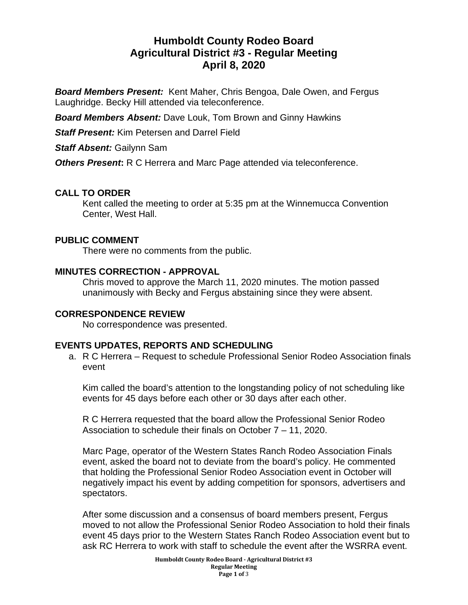# **Humboldt County Rodeo Board Agricultural District #3 - Regular Meeting April 8, 2020**

*Board Members Present:* Kent Maher, Chris Bengoa, Dale Owen, and Fergus Laughridge. Becky Hill attended via teleconference.

*Board Members Absent:* Dave Louk, Tom Brown and Ginny Hawkins

*Staff Present:* Kim Petersen and Darrel Field

*Staff Absent:* Gailynn Sam

*Others Present***:** R C Herrera and Marc Page attended via teleconference.

# **CALL TO ORDER**

Kent called the meeting to order at 5:35 pm at the Winnemucca Convention Center, West Hall.

### **PUBLIC COMMENT**

There were no comments from the public.

### **MINUTES CORRECTION - APPROVAL**

Chris moved to approve the March 11, 2020 minutes. The motion passed unanimously with Becky and Fergus abstaining since they were absent.

# **CORRESPONDENCE REVIEW**

No correspondence was presented.

# **EVENTS UPDATES, REPORTS AND SCHEDULING**

a. R C Herrera – Request to schedule Professional Senior Rodeo Association finals event

Kim called the board's attention to the longstanding policy of not scheduling like events for 45 days before each other or 30 days after each other.

R C Herrera requested that the board allow the Professional Senior Rodeo Association to schedule their finals on October 7 – 11, 2020.

Marc Page, operator of the Western States Ranch Rodeo Association Finals event, asked the board not to deviate from the board's policy. He commented that holding the Professional Senior Rodeo Association event in October will negatively impact his event by adding competition for sponsors, advertisers and spectators.

After some discussion and a consensus of board members present, Fergus moved to not allow the Professional Senior Rodeo Association to hold their finals event 45 days prior to the Western States Ranch Rodeo Association event but to ask RC Herrera to work with staff to schedule the event after the WSRRA event.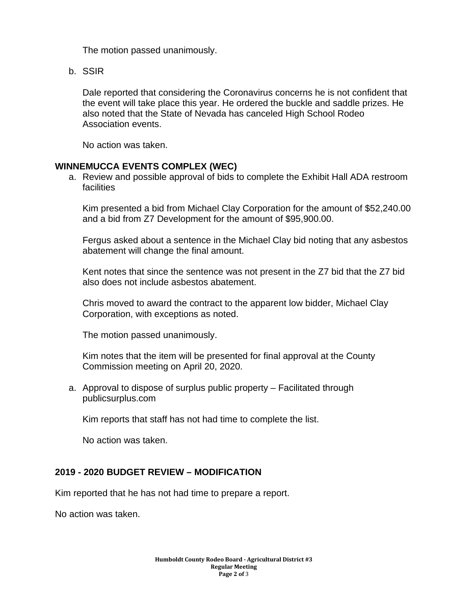The motion passed unanimously.

b. SSIR

Dale reported that considering the Coronavirus concerns he is not confident that the event will take place this year. He ordered the buckle and saddle prizes. He also noted that the State of Nevada has canceled High School Rodeo Association events.

No action was taken.

#### **WINNEMUCCA EVENTS COMPLEX (WEC)**

a. Review and possible approval of bids to complete the Exhibit Hall ADA restroom facilities

Kim presented a bid from Michael Clay Corporation for the amount of \$52,240.00 and a bid from Z7 Development for the amount of \$95,900.00.

Fergus asked about a sentence in the Michael Clay bid noting that any asbestos abatement will change the final amount.

Kent notes that since the sentence was not present in the Z7 bid that the Z7 bid also does not include asbestos abatement.

Chris moved to award the contract to the apparent low bidder, Michael Clay Corporation, with exceptions as noted.

The motion passed unanimously.

Kim notes that the item will be presented for final approval at the County Commission meeting on April 20, 2020.

a. Approval to dispose of surplus public property – Facilitated through publicsurplus.com

Kim reports that staff has not had time to complete the list.

No action was taken.

#### **2019 - 2020 BUDGET REVIEW – MODIFICATION**

Kim reported that he has not had time to prepare a report.

No action was taken.